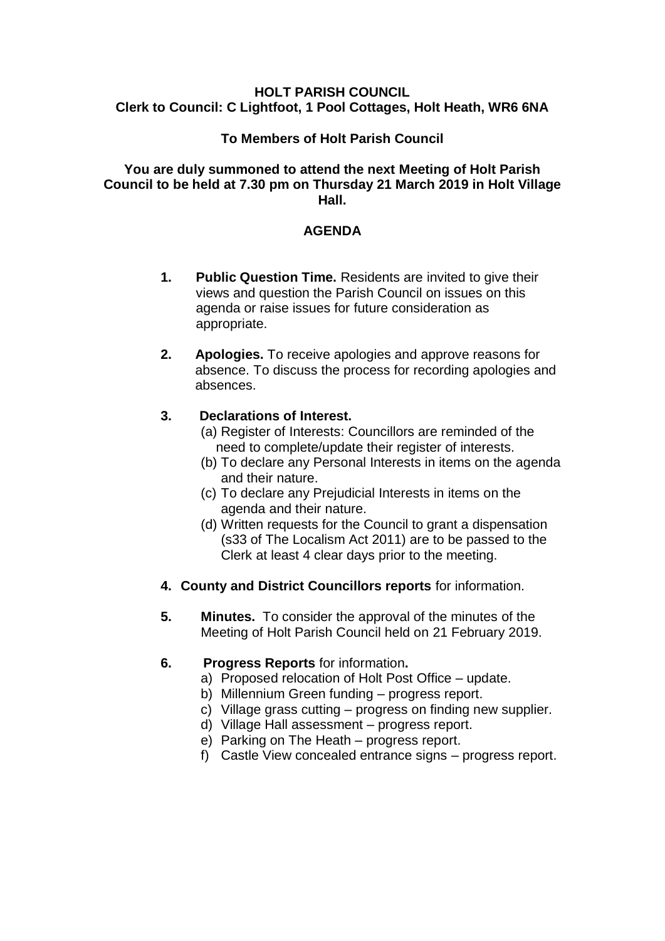#### **HOLT PARISH COUNCIL Clerk to Council: C Lightfoot, 1 Pool Cottages, Holt Heath, WR6 6NA**

# **To Members of Holt Parish Council**

#### **You are duly summoned to attend the next Meeting of Holt Parish Council to be held at 7.30 pm on Thursday 21 March 2019 in Holt Village Hall.**

### **AGENDA**

- **1. Public Question Time.** Residents are invited to give their views and question the Parish Council on issues on this agenda or raise issues for future consideration as appropriate.
- **2. Apologies.** To receive apologies and approve reasons for absence. To discuss the process for recording apologies and absences.

### **3. Declarations of Interest.**

- (a) Register of Interests: Councillors are reminded of the need to complete/update their register of interests.
- (b) To declare any Personal Interests in items on the agenda and their nature.
- (c) To declare any Prejudicial Interests in items on the agenda and their nature.
- (d) Written requests for the Council to grant a dispensation (s33 of The Localism Act 2011) are to be passed to the Clerk at least 4 clear days prior to the meeting.
- **4. County and District Councillors reports** for information.
- **5. Minutes.** To consider the approval of the minutes of the Meeting of Holt Parish Council held on 21 February 2019.

# **6. Progress Reports** for information**.**

- a) Proposed relocation of Holt Post Office update.
- b) Millennium Green funding progress report.
- c) Village grass cutting progress on finding new supplier.
- d) Village Hall assessment progress report.
- e) Parking on The Heath progress report.
- f) Castle View concealed entrance signs progress report.